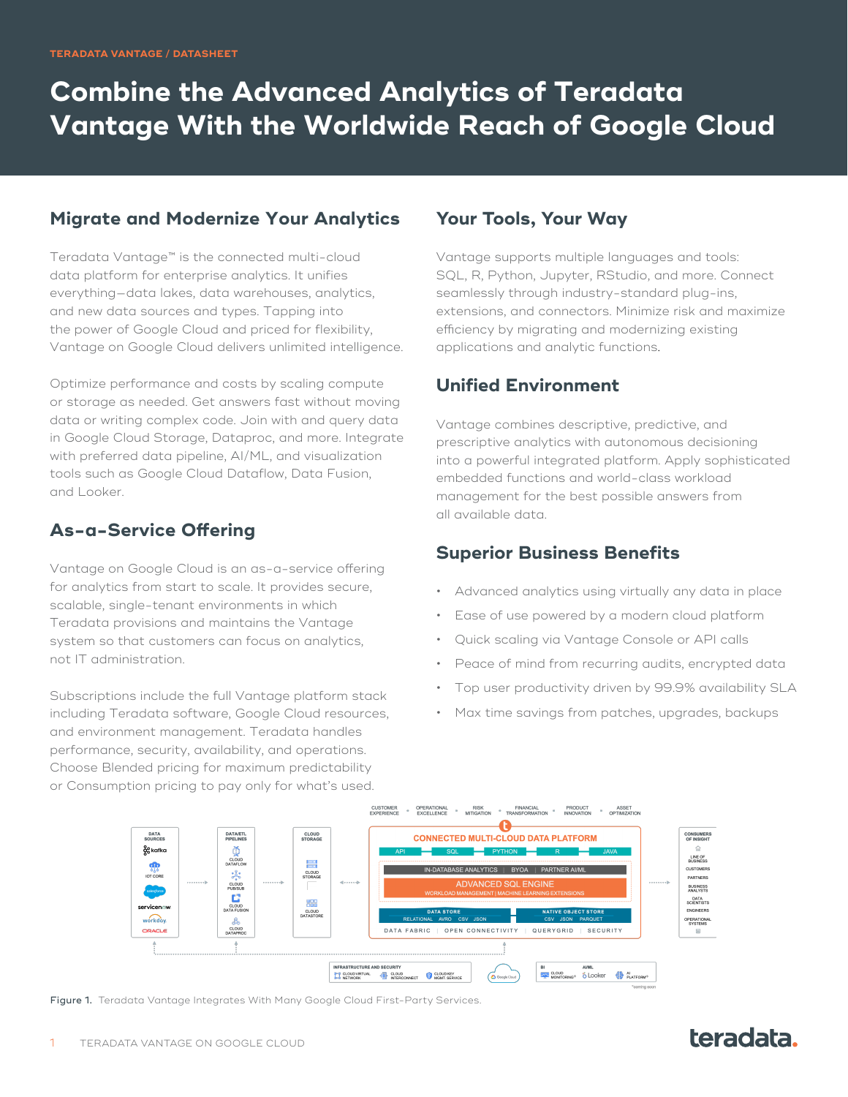# **Combine the Advanced Analytics of Teradata Vantage With the Worldwide Reach of Google Cloud**

#### **Migrate and Modernize Your Analytics**

Teradata Vantage™ is the connected multi-cloud data platform for enterprise analytics. It unifies everything—data lakes, data warehouses, analytics, and new data sources and types. Tapping into the power of Google Cloud and priced for flexibility, Vantage on Google Cloud delivers unlimited intelligence.

Optimize performance and costs by scaling compute or storage as needed. Get answers fast without moving data or writing complex code. Join with and query data in Google Cloud Storage, Dataproc, and more. Integrate with preferred data pipeline, AI/ML, and visualization tools such as Google Cloud Dataflow, Data Fusion, and Looker.

## **As-a-Service Offering**

Vantage on Google Cloud is an as-a-service offering for analytics from start to scale. It provides secure, scalable, single-tenant environments in which Teradata provisions and maintains the Vantage system so that customers can focus on analytics, not IT administration.

Subscriptions include the full Vantage platform stack including Teradata software, Google Cloud resources, and environment management. Teradata handles performance, security, availability, and operations. Choose Blended pricing for maximum predictability or Consumption pricing to pay only for what's used.

#### **Your Tools, Your Way**

Vantage supports multiple languages and tools: SQL, R, Python, Jupyter, RStudio, and more. Connect seamlessly through industry-standard plug-ins, extensions, and connectors. Minimize risk and maximize efficiency by migrating and modernizing existing applications and analytic functions.

### **Unified Environment**

Vantage combines descriptive, predictive, and prescriptive analytics with autonomous decisioning into a powerful integrated platform. Apply sophisticated embedded functions and world-class workload management for the best possible answers from all available data.

### **Superior Business Benefits**

- Advanced analytics using virtually any data in place
- Ease of use powered by a modern cloud platform
- Quick scaling via Vantage Console or API calls
- Peace of mind from recurring audits, encrypted data
- Top user productivity driven by 99.9% availability SLA
- Max time savings from patches, upgrades, backups



Figure 1. Teradata Vantage Integrates With Many Google Cloud First-Party Services.

# teradata.